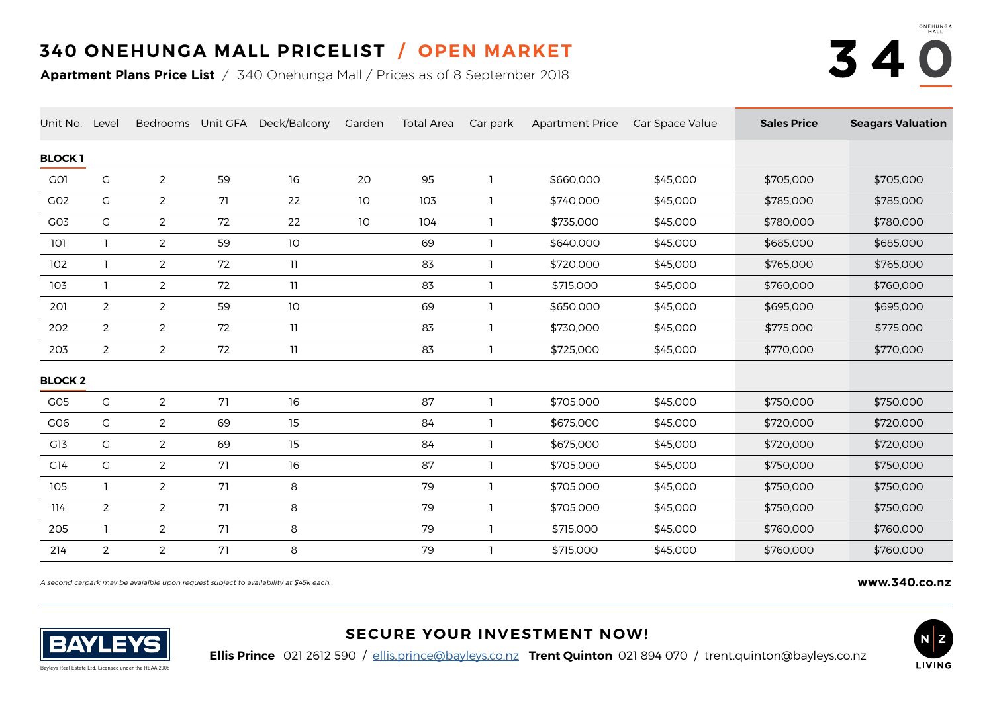## **340 ONEHUNGA MALL PRICELIST / OPEN MARKET**

**Apartment Plans Price List** / 340 Onehunga Mall / Prices as of 8 September 2018



| Unit No. Level   |                |                |    | Bedrooms Unit GFA Deck/Balcony | Garden | <b>Total Area</b> | Car park | <b>Apartment Price</b> | Car Space Value | <b>Sales Price</b> | <b>Seagars Valuation</b> |
|------------------|----------------|----------------|----|--------------------------------|--------|-------------------|----------|------------------------|-----------------|--------------------|--------------------------|
| <b>BLOCK1</b>    |                |                |    |                                |        |                   |          |                        |                 |                    |                          |
| G <sub>O</sub> 1 | G              | $\overline{2}$ | 59 | 16                             | 20     | 95                |          | \$660,000              | \$45,000        | \$705,000          | \$705,000                |
| GO2              | $\mathsf C$    | $\overline{2}$ | 71 | 22                             | 10     | 103               |          | \$740,000              | \$45,000        | \$785,000          | \$785,000                |
| CO <sub>3</sub>  | G              | $\overline{2}$ | 72 | 22                             | 10     | 104               |          | \$735,000              | \$45,000        | \$780,000          | \$780,000                |
| 101              | -1             | $\overline{2}$ | 59 | 10                             |        | 69                |          | \$640,000              | \$45,000        | \$685,000          | \$685,000                |
| 102              | -1             | $\overline{2}$ | 72 | 11                             |        | 83                |          | \$720,000              | \$45,000        | \$765,000          | \$765,000                |
| 103              | -1             | $\overline{2}$ | 72 | 11                             |        | 83                |          | \$715,000              | \$45,000        | \$760,000          | \$760,000                |
| 201              | $\mathbf{2}$   | $\overline{2}$ | 59 | 10                             |        | 69                |          | \$650,000              | \$45,000        | \$695,000          | \$695,000                |
| 202              | $\overline{2}$ | $\overline{2}$ | 72 | 11                             |        | 83                |          | \$730,000              | \$45,000        | \$775,000          | \$775,000                |
| 203              | $\overline{2}$ | $\overline{2}$ | 72 | 11                             |        | 83                |          | \$725,000              | \$45,000        | \$770,000          | \$770,000                |
| <b>BLOCK 2</b>   |                |                |    |                                |        |                   |          |                        |                 |                    |                          |
| CO <sub>5</sub>  | G              | $\overline{2}$ | 71 | 16                             |        | 87                |          | \$705,000              | \$45,000        | \$750,000          | \$750,000                |
| C <sub>06</sub>  | G              | $\overline{2}$ | 69 | 15                             |        | 84                |          | \$675,000              | \$45,000        | \$720,000          | \$720,000                |
| C13              | $\mathsf C$    | $\overline{2}$ | 69 | 15                             |        | 84                |          | \$675,000              | \$45,000        | \$720,000          | \$720,000                |
| C14              | G              | $\overline{2}$ | 71 | 16                             |        | 87                |          | \$705,000              | \$45,000        | \$750,000          | \$750,000                |
| 105              | -1             | $\overline{2}$ | 71 | 8                              |        | 79                |          | \$705,000              | \$45,000        | \$750,000          | \$750,000                |
| 114              | $\overline{2}$ | $\overline{2}$ | 71 | 8                              |        | 79                |          | \$705,000              | \$45,000        | \$750,000          | \$750,000                |
| 205              | -1             | $\overline{2}$ | 71 | 8                              |        | 79                |          | \$715,000              | \$45,000        | \$760,000          | \$760,000                |
| 214              | $\overline{2}$ | $\overline{2}$ | 71 | 8                              |        | 79                |          | \$715,000              | \$45,000        | \$760,000          | \$760,000                |

A second carpark may be avaialble upon request subject to availability at \$45k each. **[www.340.co.nz](https://www.nzliving.net/340-onehunga-mall/)**



## **SECURE YOUR INVESTMENT NOW!**

**Ellis Prince** 021 2612 590 / [ellis.prince@bayleys.co.nz](mailto:ellis.prince%40bayleys.co.nz?subject=340%20Onehunga%20Mall%20Opportunity) **Trent Quinton** 021 894 070 / trent.quinton@bayleys.co.nz